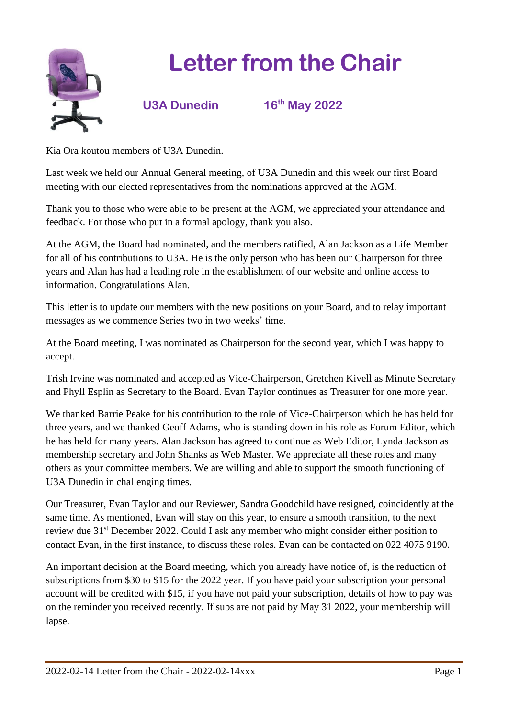

## **Letter from the Chair**



**th May 2022**

Kia Ora koutou members of U3A Dunedin.

Last week we held our Annual General meeting, of U3A Dunedin and this week our first Board meeting with our elected representatives from the nominations approved at the AGM.

Thank you to those who were able to be present at the AGM, we appreciated your attendance and feedback. For those who put in a formal apology, thank you also.

At the AGM, the Board had nominated, and the members ratified, Alan Jackson as a Life Member for all of his contributions to U3A. He is the only person who has been our Chairperson for three years and Alan has had a leading role in the establishment of our website and online access to information. Congratulations Alan.

This letter is to update our members with the new positions on your Board, and to relay important messages as we commence Series two in two weeks' time.

At the Board meeting, I was nominated as Chairperson for the second year, which I was happy to accept.

Trish Irvine was nominated and accepted as Vice-Chairperson, Gretchen Kivell as Minute Secretary and Phyll Esplin as Secretary to the Board. Evan Taylor continues as Treasurer for one more year.

We thanked Barrie Peake for his contribution to the role of Vice-Chairperson which he has held for three years, and we thanked Geoff Adams, who is standing down in his role as Forum Editor, which he has held for many years. Alan Jackson has agreed to continue as Web Editor, Lynda Jackson as membership secretary and John Shanks as Web Master. We appreciate all these roles and many others as your committee members. We are willing and able to support the smooth functioning of U3A Dunedin in challenging times.

Our Treasurer, Evan Taylor and our Reviewer, Sandra Goodchild have resigned, coincidently at the same time. As mentioned, Evan will stay on this year, to ensure a smooth transition, to the next review due 31st December 2022. Could I ask any member who might consider either position to contact Evan, in the first instance, to discuss these roles. Evan can be contacted on 022 4075 9190.

An important decision at the Board meeting, which you already have notice of, is the reduction of subscriptions from \$30 to \$15 for the 2022 year. If you have paid your subscription your personal account will be credited with \$15, if you have not paid your subscription, details of how to pay was on the reminder you received recently. If subs are not paid by May 31 2022, your membership will lapse.